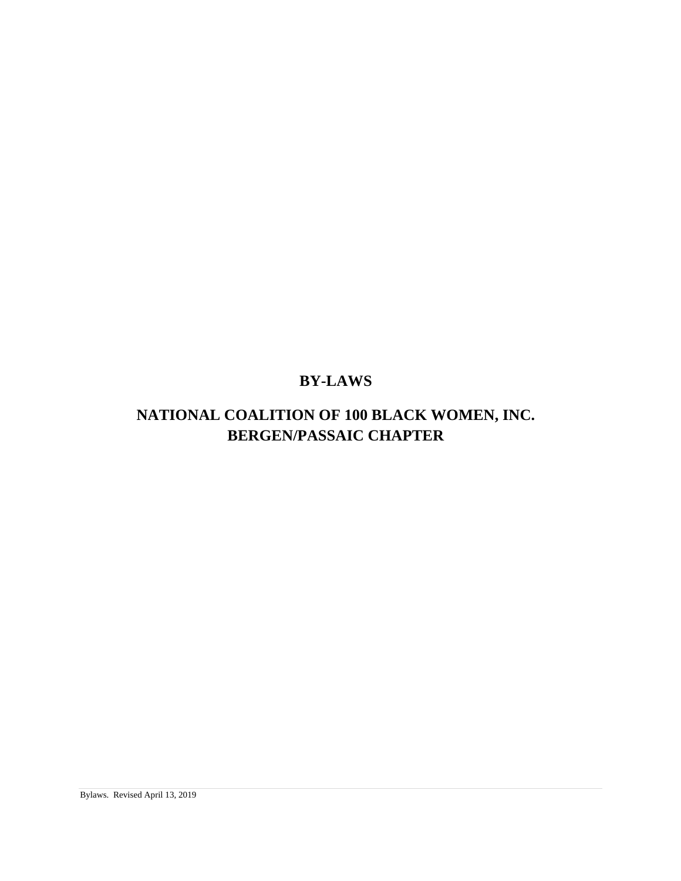# <span id="page-0-1"></span><span id="page-0-0"></span>**BY-LAWS**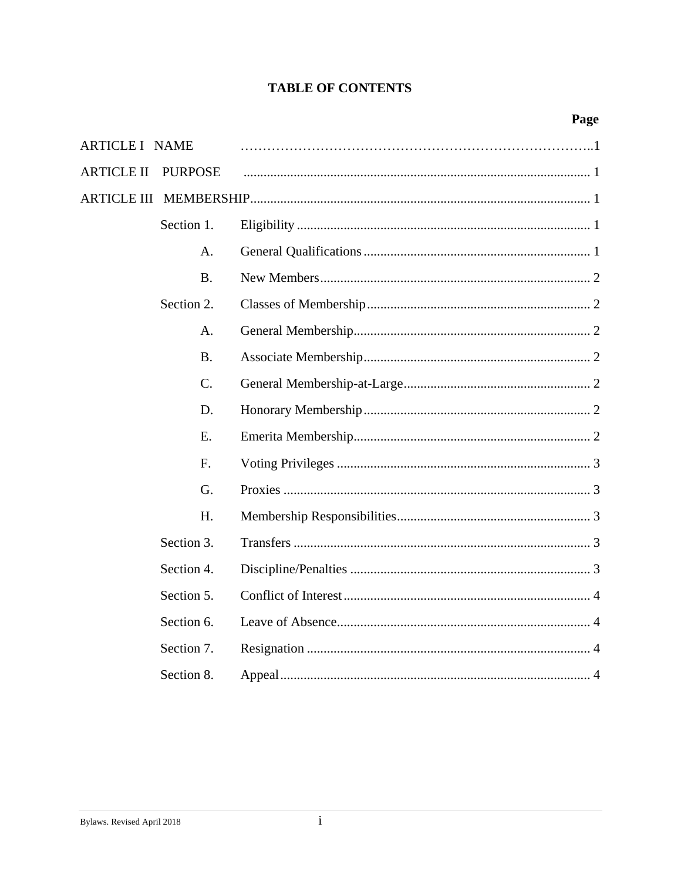<span id="page-2-0"></span>

| <b>ARTICLE I NAME</b>               |  |
|-------------------------------------|--|
| <b>PURPOSE</b><br><b>ARTICLE II</b> |  |
|                                     |  |
| Section 1.                          |  |
| A.                                  |  |
| <b>B.</b>                           |  |
| Section 2.                          |  |
| A.                                  |  |
| <b>B.</b>                           |  |
| $\mathcal{C}$ .                     |  |
| D.                                  |  |
| E.                                  |  |
| F.                                  |  |
| G.                                  |  |
| H.                                  |  |
| Section 3.                          |  |
| Section 4.                          |  |
| Section 5.                          |  |
| Section 6.                          |  |
| Section 7.                          |  |
| Section 8.                          |  |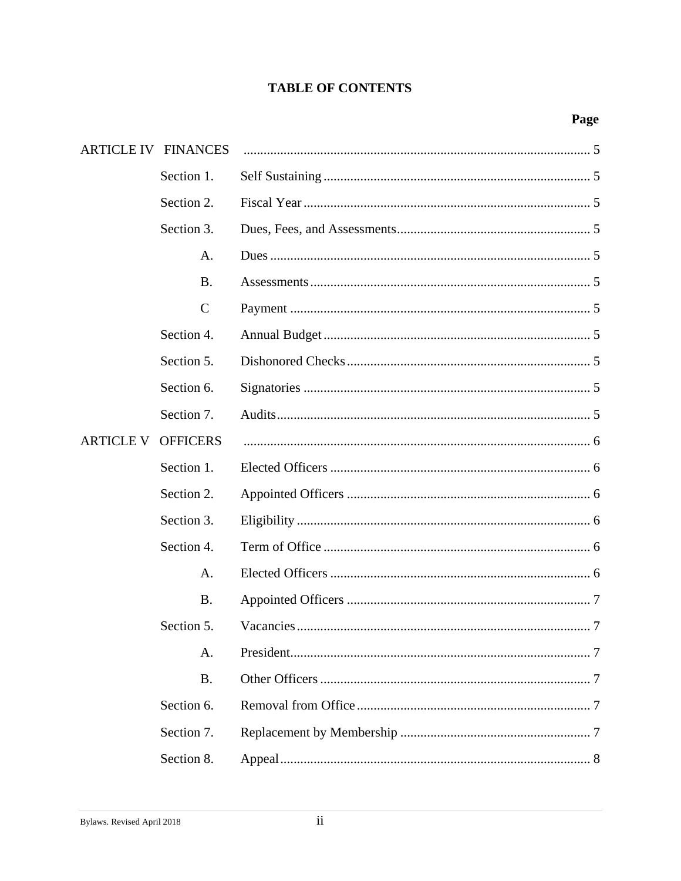| ARTICLE IV FINANCES |                 |  |
|---------------------|-----------------|--|
|                     | Section 1.      |  |
|                     | Section 2.      |  |
|                     | Section 3.      |  |
|                     | A.              |  |
|                     | <b>B.</b>       |  |
|                     | $\mathsf{C}$    |  |
|                     | Section 4.      |  |
|                     | Section 5.      |  |
|                     | Section 6.      |  |
|                     | Section 7.      |  |
| <b>ARTICLE V</b>    | <b>OFFICERS</b> |  |
|                     | Section 1.      |  |
|                     | Section 2.      |  |
|                     | Section 3.      |  |
|                     | Section 4.      |  |
|                     | A.              |  |
|                     | <b>B.</b>       |  |
|                     | Section 5.      |  |
|                     | A.              |  |
|                     | <b>B.</b>       |  |
|                     | Section 6.      |  |
|                     | Section 7.      |  |
|                     | Section 8.      |  |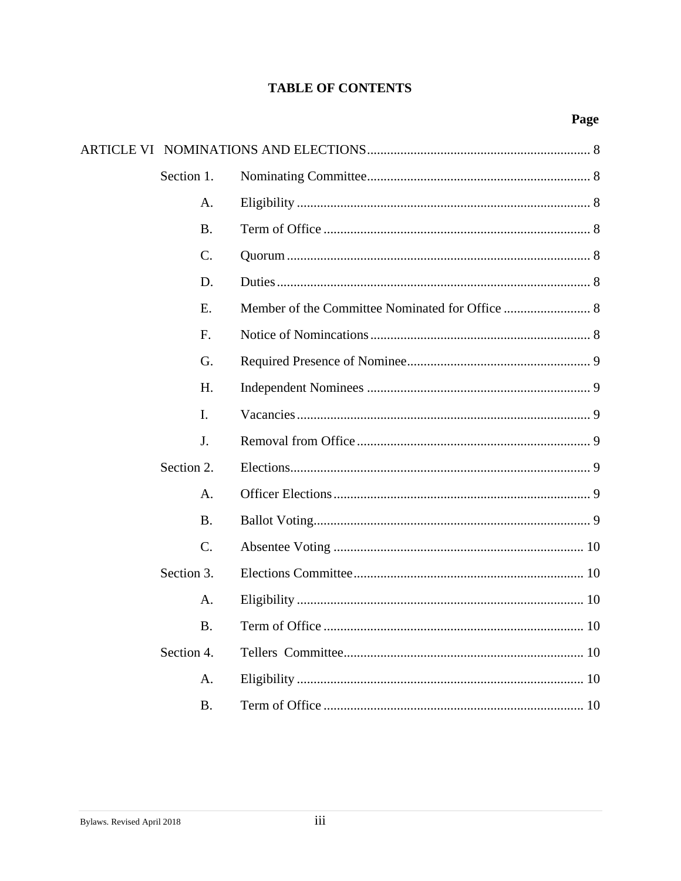| Section 1.      |  |
|-----------------|--|
| A.              |  |
| <b>B.</b>       |  |
| $\mathcal{C}$ . |  |
| D.              |  |
| E.              |  |
| F.              |  |
| G.              |  |
| H.              |  |
| I.              |  |
| J.              |  |
| Section 2.      |  |
| A.              |  |
| <b>B.</b>       |  |
| $\mathcal{C}$ . |  |
| Section 3.      |  |
| A.              |  |
| <b>B.</b>       |  |
| Section 4.      |  |
| A.              |  |
| <b>B.</b>       |  |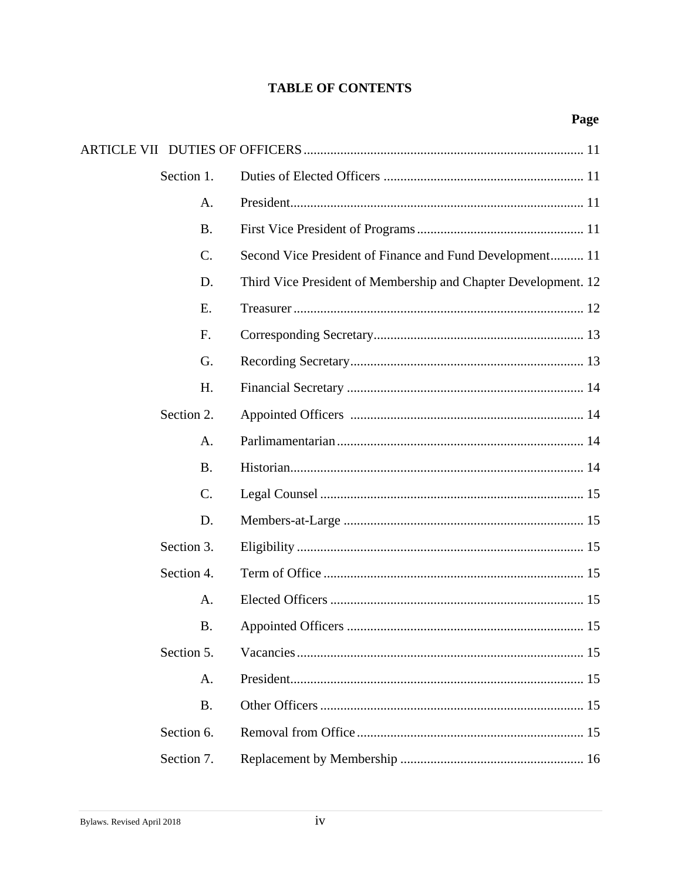| Section 1.      |                                                                |
|-----------------|----------------------------------------------------------------|
| A.              |                                                                |
| <b>B.</b>       |                                                                |
| $\mathcal{C}$ . | Second Vice President of Finance and Fund Development 11       |
| D.              | Third Vice President of Membership and Chapter Development. 12 |
| Ε.              |                                                                |
| F.              |                                                                |
| G.              |                                                                |
| H.              |                                                                |
| Section 2.      |                                                                |
| A.              |                                                                |
| <b>B.</b>       |                                                                |
| $C$ .           |                                                                |
| D.              |                                                                |
| Section 3.      |                                                                |
| Section 4.      |                                                                |
| A.              |                                                                |
| <b>B.</b>       |                                                                |
| Section 5.      |                                                                |
| A.              |                                                                |
| <b>B.</b>       |                                                                |
| Section 6.      |                                                                |
| Section 7.      |                                                                |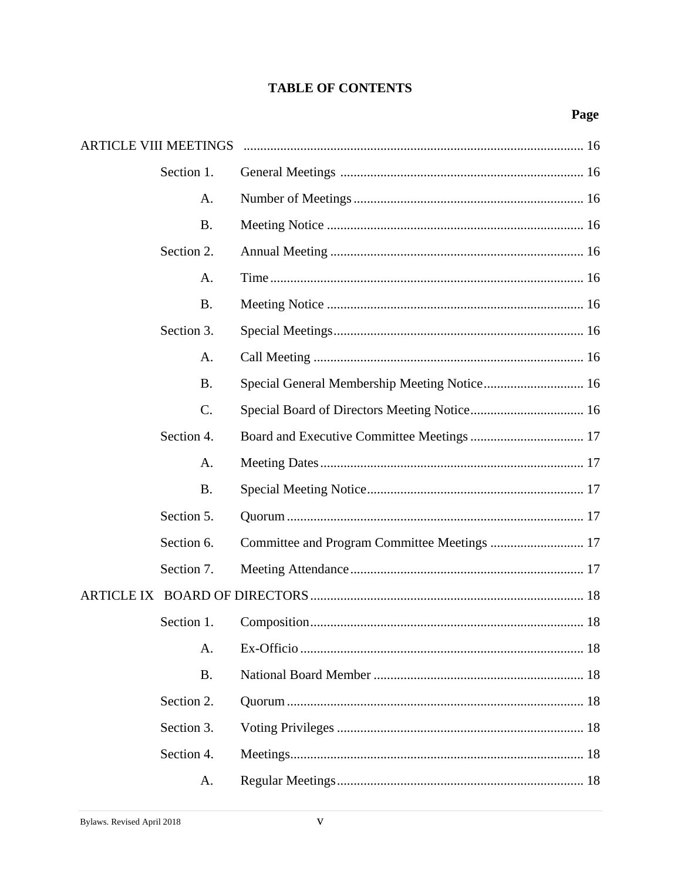| <b>ARTICLE VIII MEETINGS</b> |                                              |  |
|------------------------------|----------------------------------------------|--|
| Section 1.                   |                                              |  |
| A.                           |                                              |  |
| <b>B.</b>                    |                                              |  |
| Section 2.                   |                                              |  |
| A.                           |                                              |  |
| <b>B.</b>                    |                                              |  |
| Section 3.                   |                                              |  |
| A.                           |                                              |  |
| <b>B.</b>                    |                                              |  |
| C.                           |                                              |  |
| Section 4.                   |                                              |  |
| A.                           |                                              |  |
| <b>B.</b>                    |                                              |  |
| Section 5.                   |                                              |  |
| Section 6.                   | Committee and Program Committee Meetings  17 |  |
| Section 7.                   |                                              |  |
|                              |                                              |  |
| Section 1.                   |                                              |  |
| A.                           |                                              |  |
| <b>B.</b>                    |                                              |  |
| Section 2.                   |                                              |  |
| Section 3.                   |                                              |  |
| Section 4.                   |                                              |  |
| A.                           |                                              |  |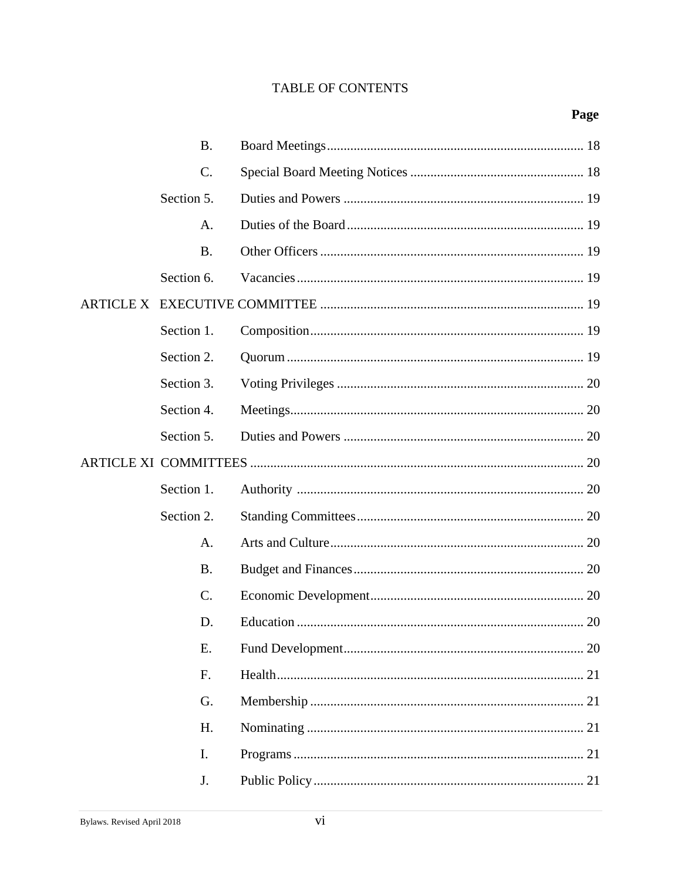| <b>B.</b>  |  |
|------------|--|
| C.         |  |
| Section 5. |  |
| A.         |  |
| <b>B.</b>  |  |
| Section 6. |  |
|            |  |
| Section 1. |  |
| Section 2. |  |
| Section 3. |  |
| Section 4. |  |
| Section 5. |  |
|            |  |
|            |  |
| Section 1. |  |
| Section 2. |  |
| A.         |  |
| <b>B.</b>  |  |
| C.         |  |
| D.         |  |
| Ε.         |  |
| F.         |  |
| G.         |  |
| H.         |  |
| I.         |  |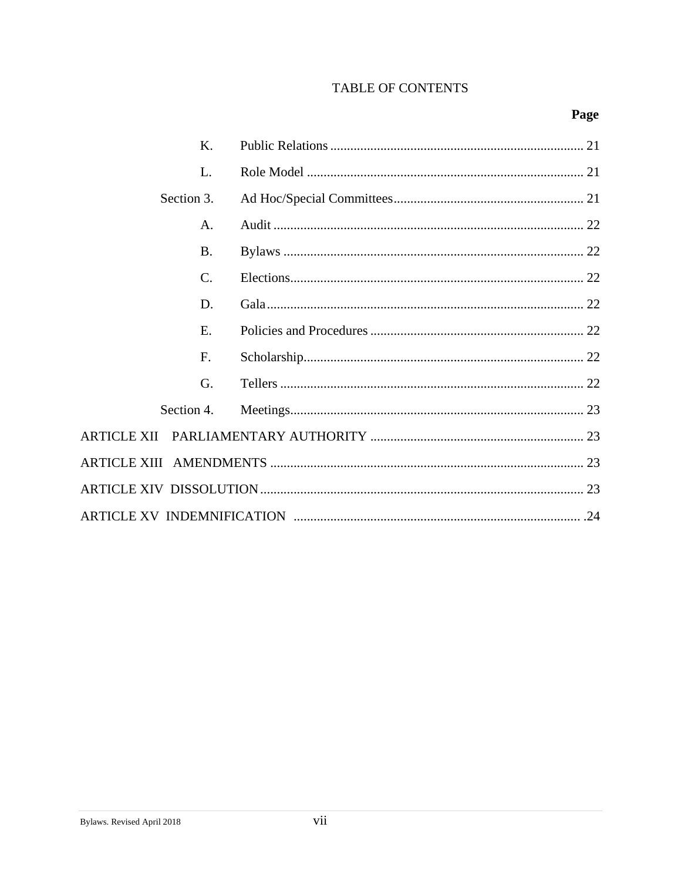## Page

| Κ.         |  |
|------------|--|
| L.         |  |
| Section 3. |  |
| A.         |  |
| <b>B.</b>  |  |
| C.         |  |
| D.         |  |
| E.         |  |
| F.         |  |
| G.         |  |
| Section 4. |  |
|            |  |
|            |  |
|            |  |
|            |  |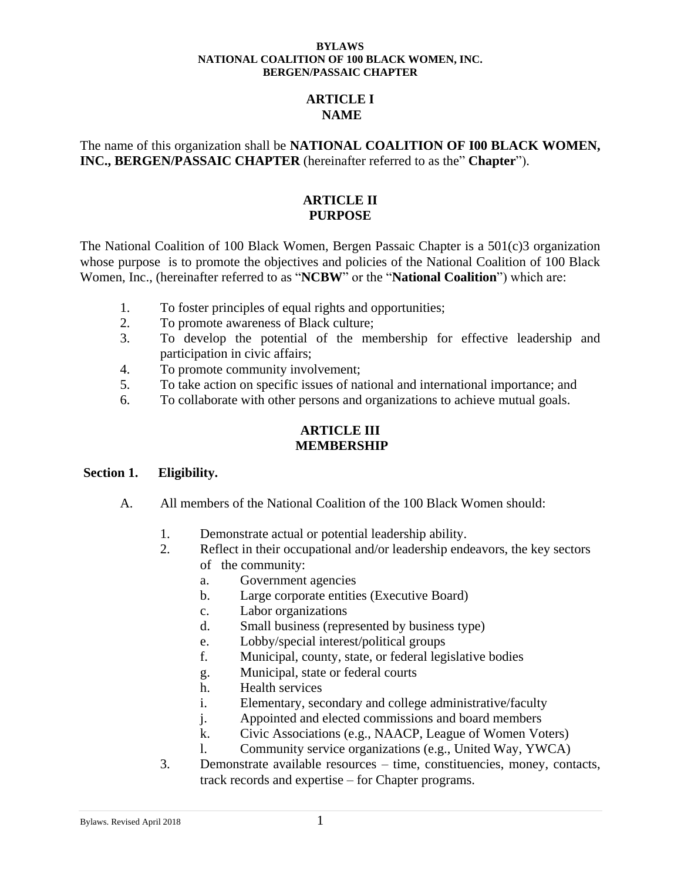### **ARTICLE I NAME**

### The name of this organization shall be **NATIONAL COALITION OF I00 BLACK WOMEN, INC., BERGEN/PASSAIC CHAPTER** (hereinafter referred to as the" **Chapter**").

### **ARTICLE II PURPOSE**

The National Coalition of 100 Black Women, Bergen Passaic Chapter is a 501(c)3 organization whose purpose is to promote the objectives and policies of the National Coalition of 100 Black Women, Inc., (hereinafter referred to as "**NCBW**" or the "**National Coalition**") which are:

- 1. To foster principles of equal rights and opportunities;
- 2. To promote awareness of Black culture;
- 3. To develop the potential of the membership for effective leadership and participation in civic affairs;
- 4. To promote community involvement;
- 5. To take action on specific issues of national and international importance; and
- 6. To collaborate with other persons and organizations to achieve mutual goals.

## **ARTICLE III MEMBERSHIP**

### **Section 1. Eligibility.**

- A. All members of the National Coalition of the 100 Black Women should:
	- 1. Demonstrate actual or potential leadership ability.
	- 2. Reflect in their occupational and/or leadership endeavors, the key sectors of the community:
		- a. Government agencies
		- b. Large corporate entities (Executive Board)
		- c. Labor organizations
		- d. Small business (represented by business type)
		- e. Lobby/special interest/political groups
		- f. Municipal, county, state, or federal legislative bodies
		- g. Municipal, state or federal courts
		- h. Health services
		- i. Elementary, secondary and college administrative/faculty
		- j. Appointed and elected commissions and board members
		- k. Civic Associations (e.g., NAACP, League of Women Voters)
		- l. Community service organizations (e.g., United Way, YWCA)
	- 3. Demonstrate available resources time, constituencies, money, contacts, track records and expertise – for Chapter programs.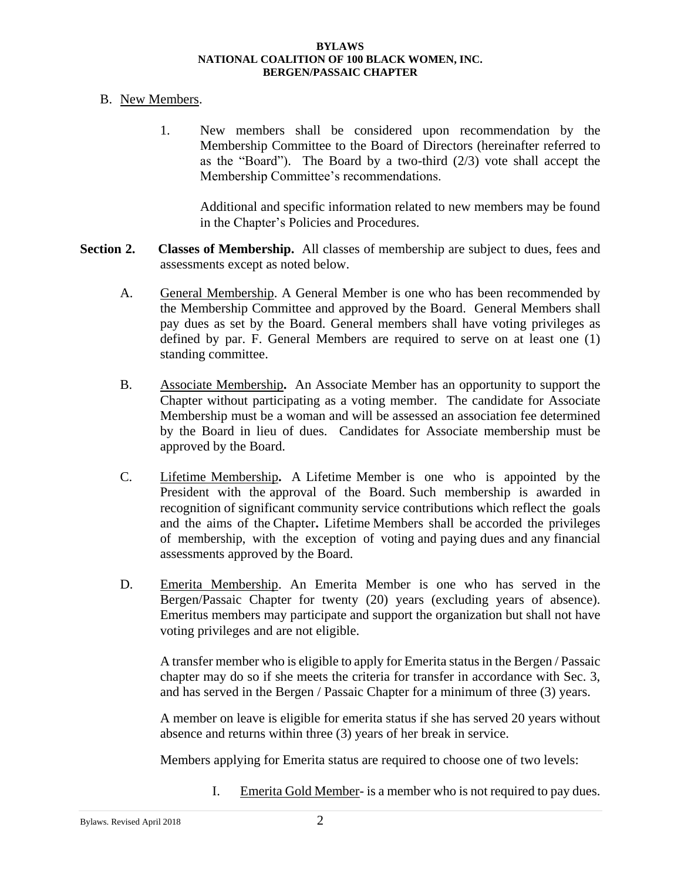### B. New Members.

1. New members shall be considered upon recommendation by the Membership Committee to the Board of Directors (hereinafter referred to as the "Board"). The Board by a two-third (2/3) vote shall accept the Membership Committee's recommendations.

Additional and specific information related to new members may be found in the Chapter's Policies and Procedures.

- Section 2. Classes of Membership. All classes of membership are subject to dues, fees and assessments except as noted below.
	- A. General Membership. A General Member is one who has been recommended by the Membership Committee and approved by the Board. General Members shall pay dues as set by the Board. General members shall have voting privileges as defined by par. F. General Members are required to serve on at least one (1) standing committee.
	- B. Associate Membership**.** An Associate Member has an opportunity to support the Chapter without participating as a voting member. The candidate for Associate Membership must be a woman and will be assessed an association fee determined by the Board in lieu of dues. Candidates for Associate membership must be approved by the Board.
	- C. Lifetime Membership**.** A Lifetime Member is one who is appointed by the President with the approval of the Board. Such membership is awarded in recognition of significant community service contributions which reflect the goals and the aims of the Chapter**.** Lifetime Members shall be accorded the privileges of membership, with the exception of voting and paying dues and any financial assessments approved by the Board.
	- D. Emerita Membership. An Emerita Member is one who has served in the Bergen/Passaic Chapter for twenty (20) years (excluding years of absence). Emeritus members may participate and support the organization but shall not have voting privileges and are not eligible.

A transfer member who is eligible to apply for Emerita status in the Bergen / Passaic chapter may do so if she meets the criteria for transfer in accordance with Sec. 3, and has served in the Bergen / Passaic Chapter for a minimum of three (3) years.

A member on leave is eligible for emerita status if she has served 20 years without absence and returns within three (3) years of her break in service.

Members applying for Emerita status are required to choose one of two levels:

I. Emerita Gold Member- is a member who is not required to pay dues.

Bylaws. Revised April 2018 2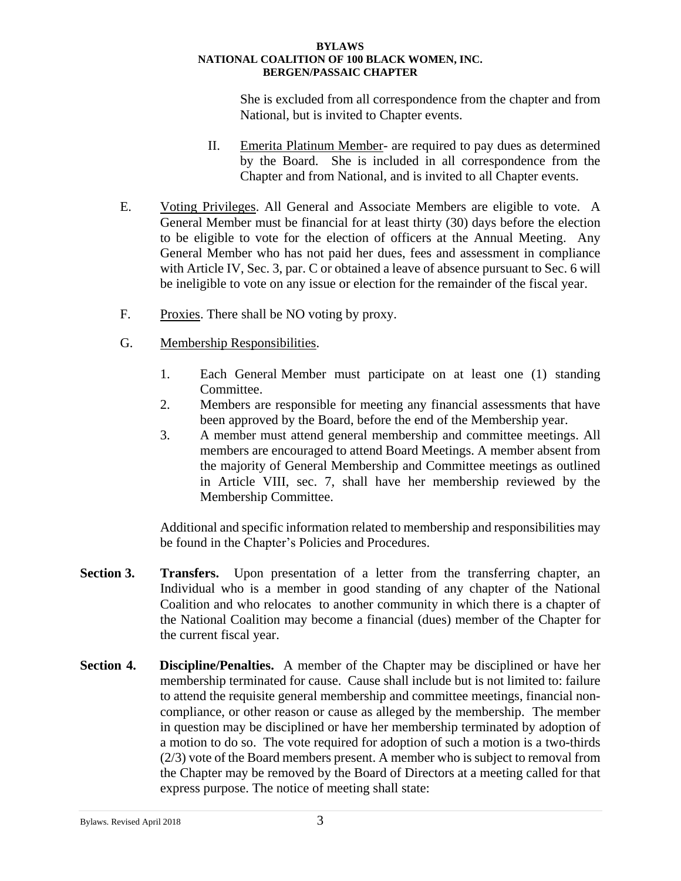She is excluded from all correspondence from the chapter and from National, but is invited to Chapter events.

- II. Emerita Platinum Member- are required to pay dues as determined by the Board. She is included in all correspondence from the Chapter and from National, and is invited to all Chapter events.
- E. Voting Privileges. All General and Associate Members are eligible to vote. A General Member must be financial for at least thirty (30) days before the election to be eligible to vote for the election of officers at the Annual Meeting. Any General Member who has not paid her dues, fees and assessment in compliance with Article IV, Sec. 3, par. C or obtained a leave of absence pursuant to Sec. 6 will be ineligible to vote on any issue or election for the remainder of the fiscal year.
- F. Proxies. There shall be NO voting by proxy.
- G. Membership Responsibilities.
	- 1. Each General Member must participate on at least one (1) standing Committee.
	- 2. Members are responsible for meeting any financial assessments that have been approved by the Board, before the end of the Membership year.
	- 3. A member must attend general membership and committee meetings. All members are encouraged to attend Board Meetings. A member absent from the majority of General Membership and Committee meetings as outlined in Article VIII, sec. 7, shall have her membership reviewed by the Membership Committee.

Additional and specific information related to membership and responsibilities may be found in the Chapter's Policies and Procedures.

- **Section 3.** Transfers. Upon presentation of a letter from the transferring chapter, an Individual who is a member in good standing of any chapter of the National Coalition and who relocates to another community in which there is a chapter of the National Coalition may become a financial (dues) member of the Chapter for the current fiscal year.
- **Section 4. Discipline/Penalties.** A member of the Chapter may be disciplined or have her membership terminated for cause. Cause shall include but is not limited to: failure to attend the requisite general membership and committee meetings, financial noncompliance, or other reason or cause as alleged by the membership. The member in question may be disciplined or have her membership terminated by adoption of a motion to do so. The vote required for adoption of such a motion is a two-thirds (2/3) vote of the Board members present. A member who is subject to removal from the Chapter may be removed by the Board of Directors at a meeting called for that express purpose. The notice of meeting shall state: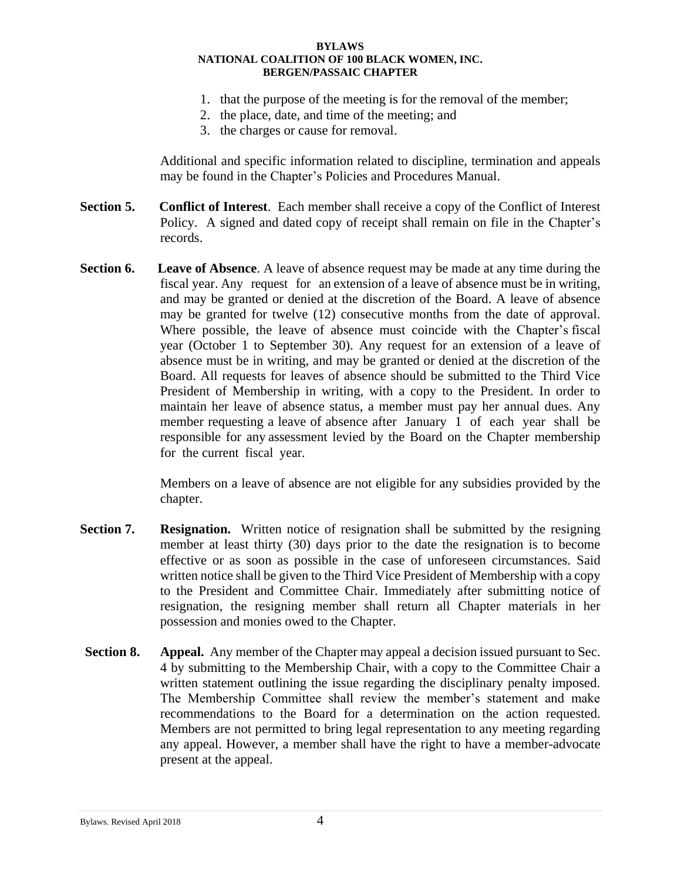- 1. that the purpose of the meeting is for the removal of the member;
- 2. the place, date, and time of the meeting; and
- 3. the charges or cause for removal.

Additional and specific information related to discipline, termination and appeals may be found in the Chapter's Policies and Procedures Manual.

- **Section 5. Conflict of Interest**. Each member shall receive a copy of the Conflict of Interest Policy. A signed and dated copy of receipt shall remain on file in the Chapter's records.
- **Section 6. Leave of Absence**. A leave of absence request may be made at any time during the fiscal year. Any request for an extension of a leave of absence must be in writing, and may be granted or denied at the discretion of the Board. A leave of absence may be granted for twelve (12) consecutive months from the date of approval. Where possible, the leave of absence must coincide with the Chapter's fiscal year (October 1 to September 30). Any request for an extension of a leave of absence must be in writing, and may be granted or denied at the discretion of the Board. All requests for leaves of absence should be submitted to the Third Vice President of Membership in writing, with a copy to the President. In order to maintain her leave of absence status, a member must pay her annual dues. Any member requesting a leave of absence after January 1 of each year shall be responsible for any assessment levied by the Board on the Chapter membership for the current fiscal year.

Members on a leave of absence are not eligible for any subsidies provided by the chapter.

- **Section 7.** Resignation. Written notice of resignation shall be submitted by the resigning member at least thirty (30) days prior to the date the resignation is to become effective or as soon as possible in the case of unforeseen circumstances. Said written notice shall be given to the Third Vice President of Membership with a copy to the President and Committee Chair. Immediately after submitting notice of resignation, the resigning member shall return all Chapter materials in her possession and monies owed to the Chapter.
- **Section 8. Appeal.** Any member of the Chapter may appeal a decision issued pursuant to Sec. 4 by submitting to the Membership Chair, with a copy to the Committee Chair a written statement outlining the issue regarding the disciplinary penalty imposed. The Membership Committee shall review the member's statement and make recommendations to the Board for a determination on the action requested. Members are not permitted to bring legal representation to any meeting regarding any appeal. However, a member shall have the right to have a member-advocate present at the appeal.

Bylaws. Revised April 2018 4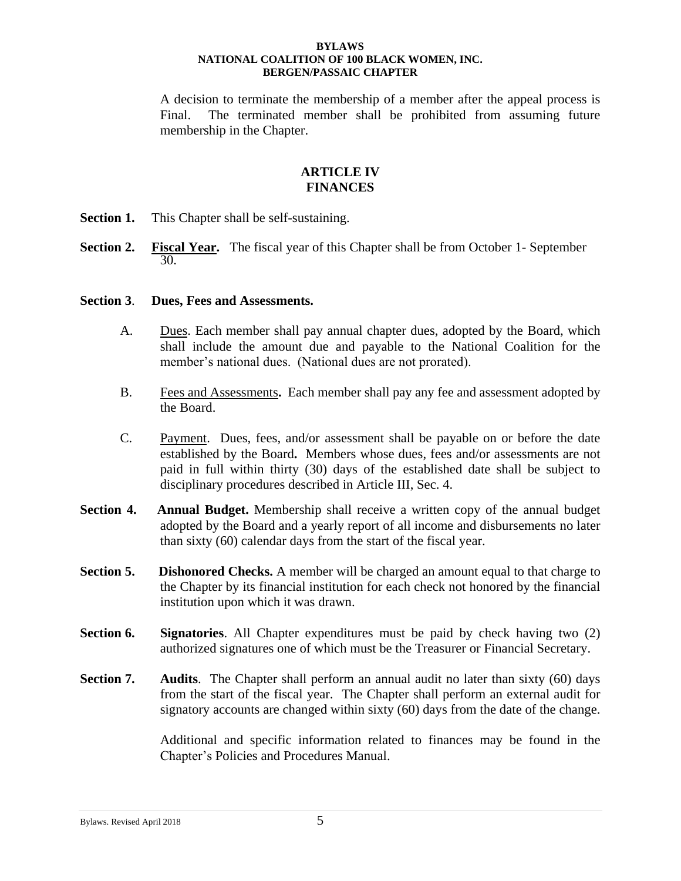A decision to terminate the membership of a member after the appeal process is Final. The terminated member shall be prohibited from assuming future membership in the Chapter.

### **ARTICLE IV FINANCES**

- **Section 1.** This Chapter shall be self-sustaining.
- **Section 2. Fiscal Year.** The fiscal year of this Chapter shall be from October 1- September 30.

### **Section 3**. **Dues, Fees and Assessments.**

- A. Dues. Each member shall pay annual chapter dues, adopted by the Board, which shall include the amount due and payable to the National Coalition for the member's national dues. (National dues are not prorated).
- B. Fees and Assessments**.** Each member shall pay any fee and assessment adopted by the Board.
- C. Payment. Dues, fees, and/or assessment shall be payable on or before the date established by the Board**.** Members whose dues, fees and/or assessments are not paid in full within thirty (30) days of the established date shall be subject to disciplinary procedures described in Article III, Sec. 4.
- **Section 4.** Annual Budget. Membership shall receive a written copy of the annual budget adopted by the Board and a yearly report of all income and disbursements no later than sixty (60) calendar days from the start of the fiscal year.
- **Section 5.** Dishonored Checks. A member will be charged an amount equal to that charge to the Chapter by its financial institution for each check not honored by the financial institution upon which it was drawn.
- **Section 6. Signatories**. All Chapter expenditures must be paid by check having two (2) authorized signatures one of which must be the Treasurer or Financial Secretary.
- **Section 7. Audits**. The Chapter shall perform an annual audit no later than sixty (60) days from the start of the fiscal year.The Chapter shall perform an external audit for signatory accounts are changed within sixty (60) days from the date of the change.

Additional and specific information related to finances may be found in the Chapter's Policies and Procedures Manual.

#### Bylaws. Revised April 2018 5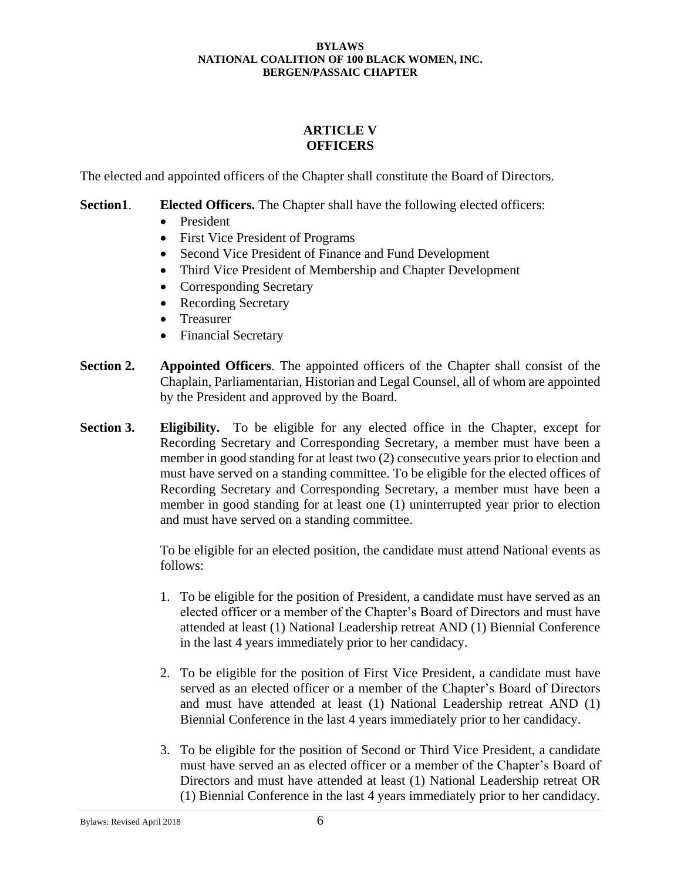## **ARTICLE V OFFICERS**

The elected and appointed officers of the Chapter shall constitute the Board of Directors.

### **Section1**. **Elected Officers.** The Chapter shall have the following elected officers:

- President
- First Vice President of Programs
- Second Vice President of Finance and Fund Development
- Third Vice President of Membership and Chapter Development
- Corresponding Secretary
- Recording Secretary
- Treasurer
- Financial Secretary
- **Section 2. Appointed Officers**. The appointed officers of the Chapter shall consist of the Chaplain, Parliamentarian, Historian and Legal Counsel, all of whom are appointed by the President and approved by the Board.
- **Section 3. Eligibility.** To be eligible for any elected office in the Chapter, except for Recording Secretary and Corresponding Secretary, a member must have been a member in good standing for at least two (2) consecutive years prior to election and must have served on a standing committee. To be eligible for the elected offices of Recording Secretary and Corresponding Secretary, a member must have been a member in good standing for at least one (1) uninterrupted year prior to election and must have served on a standing committee.

To be eligible for an elected position, the candidate must attend National events as follows:

- 1. To be eligible for the position of President, a candidate must have served as an elected officer or a member of the Chapter's Board of Directors and must have attended at least (1) National Leadership retreat AND (1) Biennial Conference in the last 4 years immediately prior to her candidacy.
- 2. To be eligible for the position of First Vice President, a candidate must have served as an elected officer or a member of the Chapter's Board of Directors and must have attended at least (1) National Leadership retreat AND (1) Biennial Conference in the last 4 years immediately prior to her candidacy.
- 3. To be eligible for the position of Second or Third Vice President, a candidate must have served an as elected officer or a member of the Chapter's Board of Directors and must have attended at least (1) National Leadership retreat OR (1) Biennial Conference in the last 4 years immediately prior to her candidacy.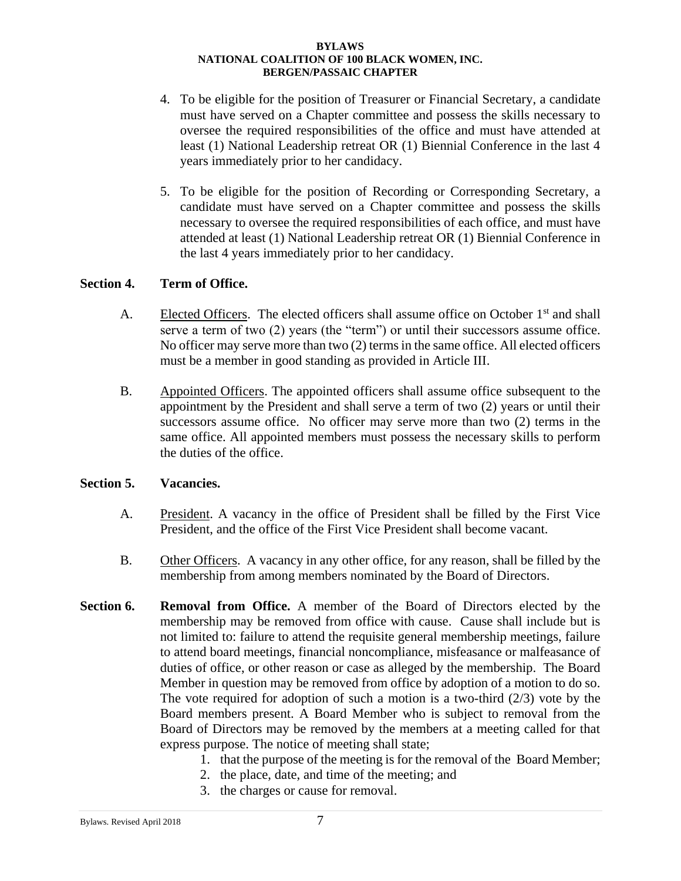- 4. To be eligible for the position of Treasurer or Financial Secretary, a candidate must have served on a Chapter committee and possess the skills necessary to oversee the required responsibilities of the office and must have attended at least (1) National Leadership retreat OR (1) Biennial Conference in the last 4 years immediately prior to her candidacy.
- 5. To be eligible for the position of Recording or Corresponding Secretary, a candidate must have served on a Chapter committee and possess the skills necessary to oversee the required responsibilities of each office, and must have attended at least (1) National Leadership retreat OR (1) Biennial Conference in the last 4 years immediately prior to her candidacy.

### **Section 4. Term of Office.**

- A. Elected Officers. The elected officers shall assume office on October 1<sup>st</sup> and shall serve a term of two (2) years (the "term") or until their successors assume office. No officer may serve more than two (2) terms in the same office. All elected officers must be a member in good standing as provided in Article III.
- B. Appointed Officers. The appointed officers shall assume office subsequent to the appointment by the President and shall serve a term of two (2) years or until their successors assume office. No officer may serve more than two (2) terms in the same office. All appointed members must possess the necessary skills to perform the duties of the office.

### **Section 5. Vacancies.**

- A. President. A vacancy in the office of President shall be filled by the First Vice President, and the office of the First Vice President shall become vacant.
- B. Other Officers. A vacancy in any other office, for any reason, shall be filled by the membership from among members nominated by the Board of Directors.
- **Section 6. Removal from Office.** A member of the Board of Directors elected by the membership may be removed from office with cause. Cause shall include but is not limited to: failure to attend the requisite general membership meetings, failure to attend board meetings, financial noncompliance, misfeasance or malfeasance of duties of office, or other reason or case as alleged by the membership. The Board Member in question may be removed from office by adoption of a motion to do so. The vote required for adoption of such a motion is a two-third  $(2/3)$  vote by the Board members present. A Board Member who is subject to removal from the Board of Directors may be removed by the members at a meeting called for that express purpose. The notice of meeting shall state;
	- 1. that the purpose of the meeting is for the removal of the Board Member;
	- 2. the place, date, and time of the meeting; and
	- 3. the charges or cause for removal.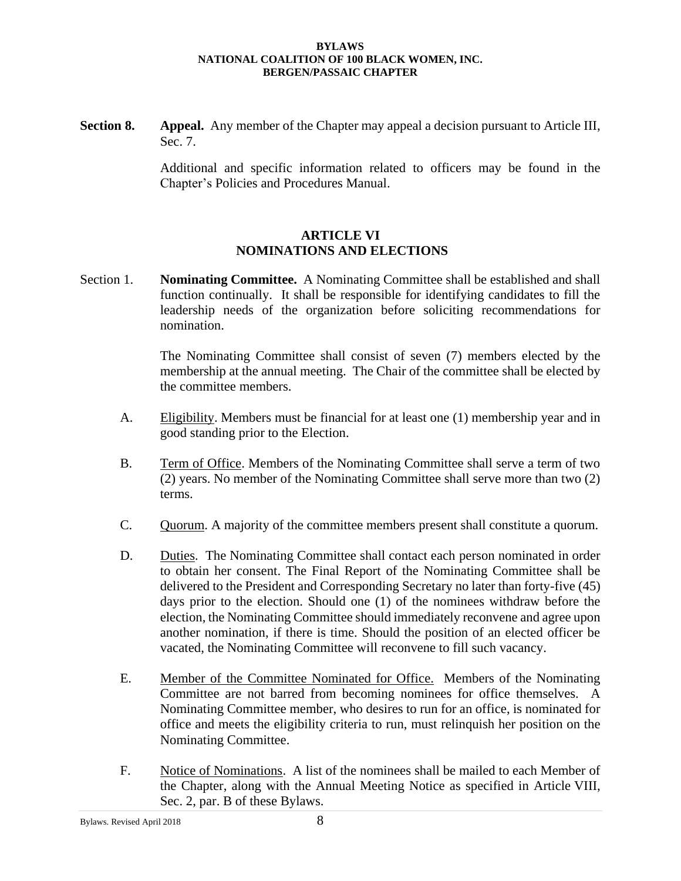**Section 8. Appeal.** Any member of the Chapter may appeal a decision pursuant to Article III, Sec. 7.

> Additional and specific information related to officers may be found in the Chapter's Policies and Procedures Manual.

### **ARTICLE VI NOMINATIONS AND ELECTIONS**

Section 1. **Nominating Committee.** A Nominating Committee shall be established and shall function continually. It shall be responsible for identifying candidates to fill the leadership needs of the organization before soliciting recommendations for nomination.

> The Nominating Committee shall consist of seven (7) members elected by the membership at the annual meeting. The Chair of the committee shall be elected by the committee members.

- A. Eligibility. Members must be financial for at least one (1) membership year and in good standing prior to the Election.
- B. Term of Office. Members of the Nominating Committee shall serve a term of two (2) years. No member of the Nominating Committee shall serve more than two (2) terms.
- C. Quorum. A majority of the committee members present shall constitute a quorum.
- D. Duties. The Nominating Committee shall contact each person nominated in order to obtain her consent. The Final Report of the Nominating Committee shall be delivered to the President and Corresponding Secretary no later than forty-five (45) days prior to the election. Should one (1) of the nominees withdraw before the election, the Nominating Committee should immediately reconvene and agree upon another nomination, if there is time. Should the position of an elected officer be vacated, the Nominating Committee will reconvene to fill such vacancy.
- E. Member of the Committee Nominated for Office. Members of the Nominating Committee are not barred from becoming nominees for office themselves. A Nominating Committee member, who desires to run for an office, is nominated for office and meets the eligibility criteria to run, must relinquish her position on the Nominating Committee.
- F. Notice of Nominations. A list of the nominees shall be mailed to each Member of the Chapter, along with the Annual Meeting Notice as specified in Article VIII, Sec. 2, par. B of these Bylaws.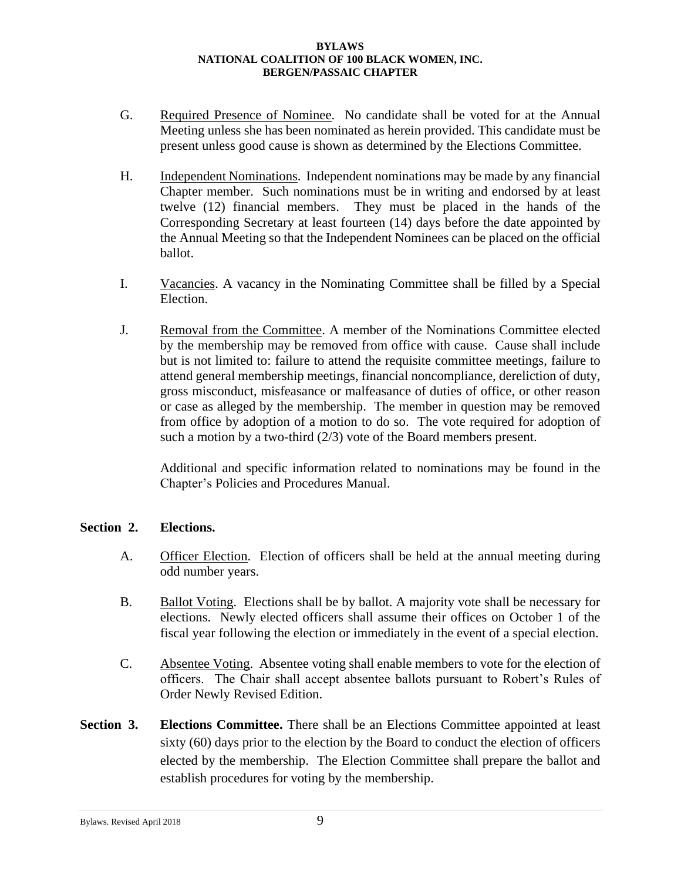- G. Required Presence of Nominee. No candidate shall be voted for at the Annual Meeting unless she has been nominated as herein provided. This candidate must be present unless good cause is shown as determined by the Elections Committee.
- H. Independent Nominations. Independent nominations may be made by any financial Chapter member. Such nominations must be in writing and endorsed by at least twelve (12) financial members. They must be placed in the hands of the Corresponding Secretary at least fourteen (14) days before the date appointed by the Annual Meeting so that the Independent Nominees can be placed on the official ballot.
- I. Vacancies. A vacancy in the Nominating Committee shall be filled by a Special Election.
- J. Removal from the Committee. A member of the Nominations Committee elected by the membership may be removed from office with cause. Cause shall include but is not limited to: failure to attend the requisite committee meetings, failure to attend general membership meetings, financial noncompliance, dereliction of duty, gross misconduct, misfeasance or malfeasance of duties of office, or other reason or case as alleged by the membership. The member in question may be removed from office by adoption of a motion to do so. The vote required for adoption of such a motion by a two-third (2/3) vote of the Board members present.

Additional and specific information related to nominations may be found in the Chapter's Policies and Procedures Manual.

### **Section 2. Elections.**

- A. Officer Election. Election of officers shall be held at the annual meeting during odd number years.
- B. Ballot Voting. Elections shall be by ballot. A majority vote shall be necessary for elections. Newly elected officers shall assume their offices on October 1 of the fiscal year following the election or immediately in the event of a special election.
- C. Absentee Voting. Absentee voting shall enable members to vote for the election of officers. The Chair shall accept absentee ballots pursuant to Robert's Rules of Order Newly Revised Edition.
- **Section 3. Elections Committee.** There shall be an Elections Committee appointed at least sixty (60) days prior to the election by the Board to conduct the election of officers elected by the membership. The Election Committee shall prepare the ballot and establish procedures for voting by the membership.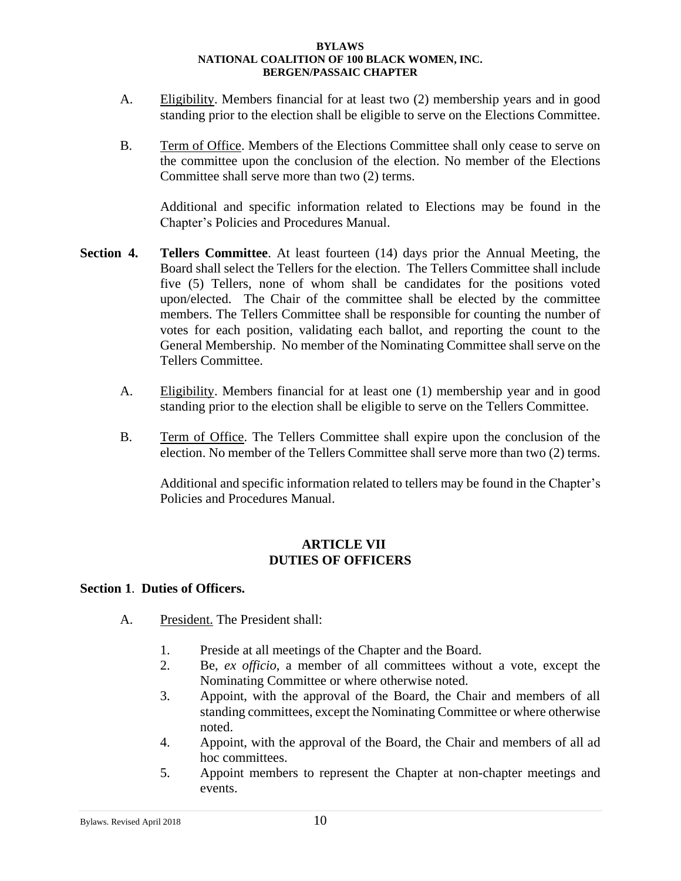- A. Eligibility. Members financial for at least two (2) membership years and in good standing prior to the election shall be eligible to serve on the Elections Committee.
- B. Term of Office. Members of the Elections Committee shall only cease to serve on the committee upon the conclusion of the election. No member of the Elections Committee shall serve more than two (2) terms.

Additional and specific information related to Elections may be found in the Chapter's Policies and Procedures Manual.

- **Section 4. Tellers Committee**. At least fourteen (14) days prior the Annual Meeting, the Board shall select the Tellers for the election. The Tellers Committee shall include five (5) Tellers, none of whom shall be candidates for the positions voted upon/elected. The Chair of the committee shall be elected by the committee members. The Tellers Committee shall be responsible for counting the number of votes for each position, validating each ballot, and reporting the count to the General Membership. No member of the Nominating Committee shall serve on the Tellers Committee.
	- A. Eligibility. Members financial for at least one (1) membership year and in good standing prior to the election shall be eligible to serve on the Tellers Committee.
	- B. Term of Office. The Tellers Committee shall expire upon the conclusion of the election. No member of the Tellers Committee shall serve more than two (2) terms.

Additional and specific information related to tellers may be found in the Chapter's Policies and Procedures Manual.

### **ARTICLE VII DUTIES OF OFFICERS**

### **Section 1**. **Duties of Officers.**

- A. President. The President shall:
	- 1. Preside at all meetings of the Chapter and the Board.
	- 2. Be, *ex officio*, a member of all committees without a vote, except the Nominating Committee or where otherwise noted.
	- 3. Appoint, with the approval of the Board, the Chair and members of all standing committees, except the Nominating Committee or where otherwise noted.
	- 4. Appoint, with the approval of the Board, the Chair and members of all ad hoc committees.
	- 5. Appoint members to represent the Chapter at non-chapter meetings and events.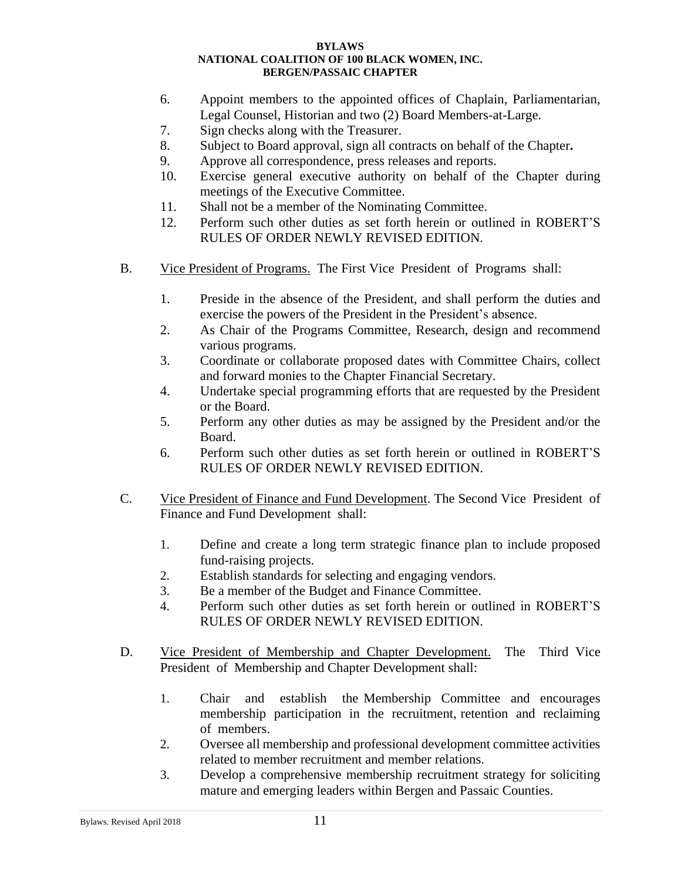- 6. Appoint members to the appointed offices of Chaplain, Parliamentarian, Legal Counsel, Historian and two (2) Board Members-at-Large.
- 7. Sign checks along with the Treasurer.
- 8. Subject to Board approval, sign all contracts on behalf of the Chapter**.**
- 9. Approve all correspondence, press releases and reports.
- 10. Exercise general executive authority on behalf of the Chapter during meetings of the Executive Committee.
- 11. Shall not be a member of the Nominating Committee.
- 12. Perform such other duties as set forth herein or outlined in ROBERT'S RULES OF ORDER NEWLY REVISED EDITION.
- B. Vice President of Programs. The First Vice President of Programs shall:
	- 1. Preside in the absence of the President, and shall perform the duties and exercise the powers of the President in the President's absence.
	- 2. As Chair of the Programs Committee, Research, design and recommend various programs.
	- 3. Coordinate or collaborate proposed dates with Committee Chairs, collect and forward monies to the Chapter Financial Secretary.
	- 4. Undertake special programming efforts that are requested by the President or the Board.
	- 5. Perform any other duties as may be assigned by the President and/or the Board.
	- 6. Perform such other duties as set forth herein or outlined in ROBERT'S RULES OF ORDER NEWLY REVISED EDITION.
- C. Vice President of Finance and Fund Development. The Second Vice President of Finance and Fund Development shall:
	- 1. Define and create a long term strategic finance plan to include proposed fund-raising projects.
	- 2. Establish standards for selecting and engaging vendors.
	- 3. Be a member of the Budget and Finance Committee.
	- 4. Perform such other duties as set forth herein or outlined in ROBERT'S RULES OF ORDER NEWLY REVISED EDITION.
- D. Vice President of Membership and Chapter Development. The Third Vice President of Membership and Chapter Development shall:
	- 1. Chair and establish the Membership Committee and encourages membership participation in the recruitment, retention and reclaiming of members.
	- 2. Oversee all membership and professional development committee activities related to member recruitment and member relations.
	- 3. Develop a comprehensive membership recruitment strategy for soliciting mature and emerging leaders within Bergen and Passaic Counties.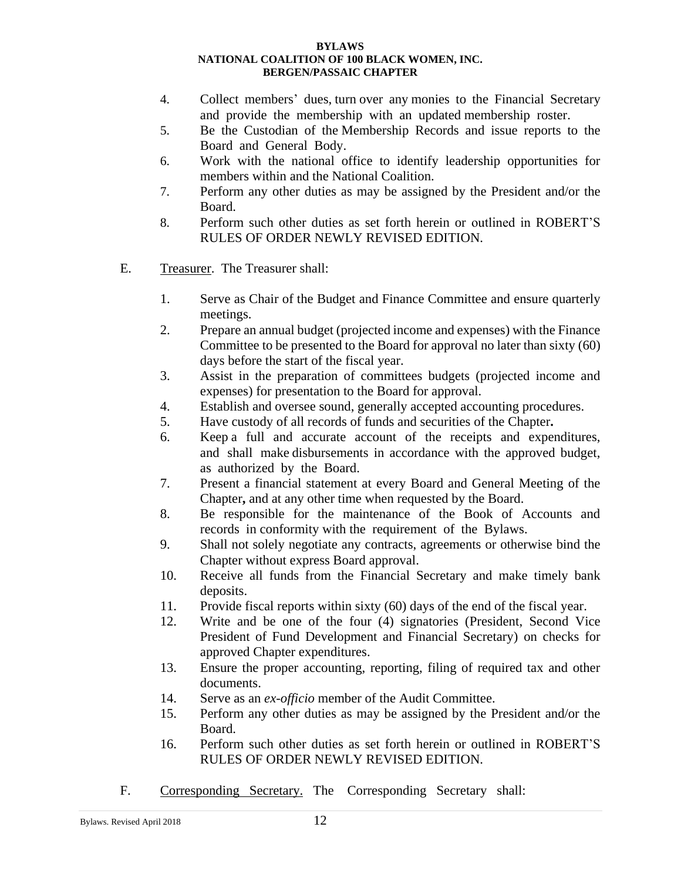- 4. Collect members' dues, turn over any monies to the Financial Secretary and provide the membership with an updated membership roster.
- 5. Be the Custodian of the Membership Records and issue reports to the Board and General Body.
- 6. Work with the national office to identify leadership opportunities for members within and the National Coalition.
- 7. Perform any other duties as may be assigned by the President and/or the Board.
- 8. Perform such other duties as set forth herein or outlined in ROBERT'S RULES OF ORDER NEWLY REVISED EDITION.
- E. Treasurer. The Treasurer shall:
	- 1. Serve as Chair of the Budget and Finance Committee and ensure quarterly meetings.
	- 2. Prepare an annual budget (projected income and expenses) with the Finance Committee to be presented to the Board for approval no later than sixty (60) days before the start of the fiscal year.
	- 3. Assist in the preparation of committees budgets (projected income and expenses) for presentation to the Board for approval.
	- 4. Establish and oversee sound, generally accepted accounting procedures.
	- 5. Have custody of all records of funds and securities of the Chapter**.**
	- 6. Keep a full and accurate account of the receipts and expenditures, and shall make disbursements in accordance with the approved budget, as authorized by the Board.
	- 7. Present a financial statement at every Board and General Meeting of the Chapter**,** and at any other time when requested by the Board.
	- 8. Be responsible for the maintenance of the Book of Accounts and records in conformity with the requirement of the Bylaws.
	- 9. Shall not solely negotiate any contracts, agreements or otherwise bind the Chapter without express Board approval.
	- 10. Receive all funds from the Financial Secretary and make timely bank deposits.
	- 11. Provide fiscal reports within sixty (60) days of the end of the fiscal year.
	- 12. Write and be one of the four (4) signatories (President, Second Vice President of Fund Development and Financial Secretary) on checks for approved Chapter expenditures.
	- 13. Ensure the proper accounting, reporting, filing of required tax and other documents.
	- 14. Serve as an *ex-officio* member of the Audit Committee.
	- 15. Perform any other duties as may be assigned by the President and/or the Board.
	- 16. Perform such other duties as set forth herein or outlined in ROBERT'S RULES OF ORDER NEWLY REVISED EDITION.
- F. Corresponding Secretary. The Corresponding Secretary shall: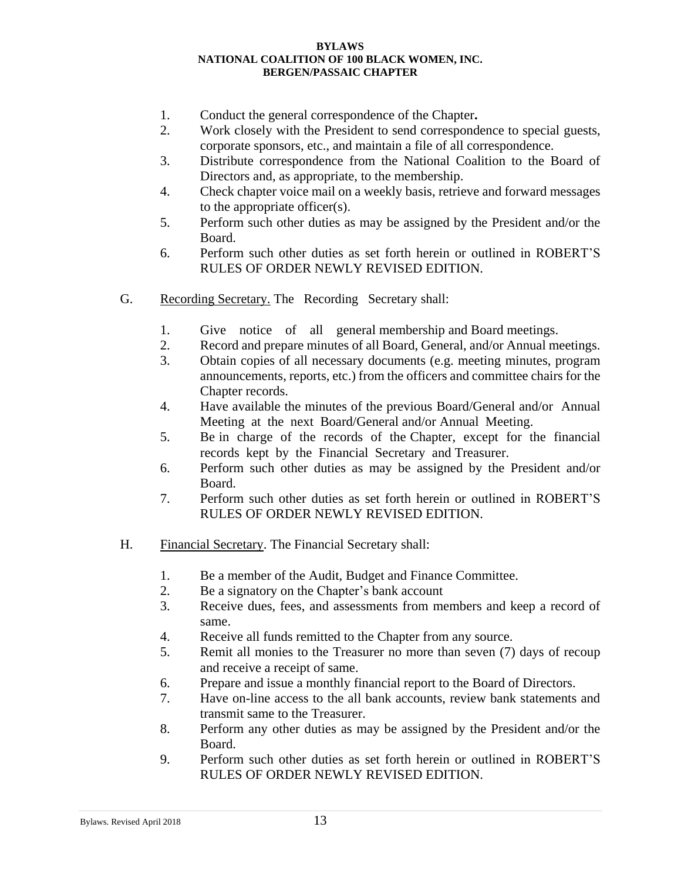- 1. Conduct the general correspondence of the Chapter**.**
- 2. Work closely with the President to send correspondence to special guests, corporate sponsors, etc., and maintain a file of all correspondence.
- 3. Distribute correspondence from the National Coalition to the Board of Directors and, as appropriate, to the membership.
- 4. Check chapter voice mail on a weekly basis, retrieve and forward messages to the appropriate officer(s).
- 5. Perform such other duties as may be assigned by the President and/or the Board.
- 6. Perform such other duties as set forth herein or outlined in ROBERT'S RULES OF ORDER NEWLY REVISED EDITION.
- G. Recording Secretary. The Recording Secretary shall:
	- 1. Give notice of all general membership and Board meetings.
	- 2. Record and prepare minutes of all Board, General, and/or Annual meetings.
	- 3. Obtain copies of all necessary documents (e.g. meeting minutes, program announcements, reports, etc.) from the officers and committee chairs for the Chapter records.
	- 4. Have available the minutes of the previous Board/General and/or Annual Meeting at the next Board/General and/or Annual Meeting.
	- 5. Be in charge of the records of the Chapter,except for the financial records kept by the Financial Secretary and Treasurer.
	- 6. Perform such other duties as may be assigned by the President and/or Board.
	- 7. Perform such other duties as set forth herein or outlined in ROBERT'S RULES OF ORDER NEWLY REVISED EDITION.
- H. Financial Secretary. The Financial Secretary shall:
	- 1. Be a member of the Audit, Budget and Finance Committee.
	- 2. Be a signatory on the Chapter's bank account
	- 3. Receive dues, fees, and assessments from members and keep a record of same.
	- 4. Receive all funds remitted to the Chapter from any source.
	- 5. Remit all monies to the Treasurer no more than seven (7) days of recoup and receive a receipt of same.
	- 6. Prepare and issue a monthly financial report to the Board of Directors.
	- 7. Have on-line access to the all bank accounts, review bank statements and transmit same to the Treasurer.
	- 8. Perform any other duties as may be assigned by the President and/or the Board.
	- 9. Perform such other duties as set forth herein or outlined in ROBERT'S RULES OF ORDER NEWLY REVISED EDITION.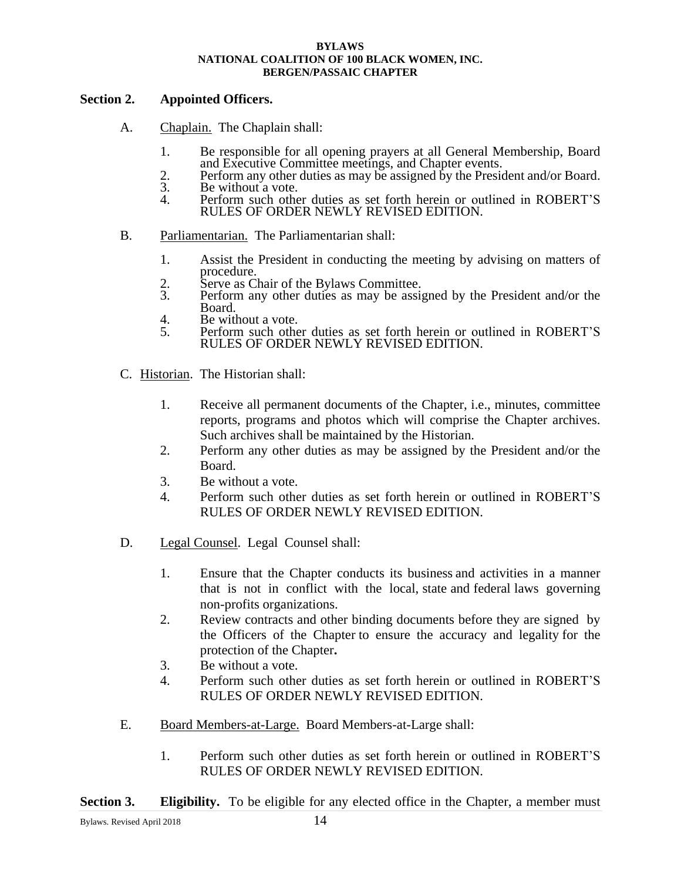### **Section 2. Appointed Officers.**

- A. Chaplain. The Chaplain shall:
	- 1. Be responsible for all opening prayers at all General Membership, Board and Executive Committee meetings, and Chapter events.
	- 2. Perform any other duties as may be assigned by the President and/or Board.<br>
	3. Be without a vote.<br>
	4. Perform such other duties as set forth herein or outlined in ROBERT'S
	- Be without a vote.
		- Perform such other duties as set forth herein or outlined in ROBERT'S RULES OF ORDER NEWLY REVISED EDITION.
- B. Parliamentarian. The Parliamentarian shall:
	- 1. Assist the President in conducting the meeting by advising on matters of procedure.
	- 2. Serve as Chair of the Bylaws Committee.
	- 3. Perform any other duties as may be assigned by the President and/or the Board.
	- 4. Be without a vote.<br>5. Perform such other
	- 5. Perform such other duties as set forth herein or outlined in ROBERT'S RULES OF ORDER NEWLY REVISED EDITION.
- C. Historian. The Historian shall:
	- 1. Receive all permanent documents of the Chapter, i.e., minutes, committee reports, programs and photos which will comprise the Chapter archives. Such archives shall be maintained by the Historian.
	- 2. Perform any other duties as may be assigned by the President and/or the Board.
	- 3. Be without a vote.
	- 4. Perform such other duties as set forth herein or outlined in ROBERT'S RULES OF ORDER NEWLY REVISED EDITION.
- D. Legal Counsel.Legal Counsel shall:
	- 1. Ensure that the Chapter conducts its business and activities in a manner that is not in conflict with the local, state and federal laws governing non-profits organizations.
	- 2. Review contracts and other binding documents before they are signed by the Officers of the Chapter to ensure the accuracy and legality for the protection of the Chapter**.**
	- 3. Be without a vote.
	- 4. Perform such other duties as set forth herein or outlined in ROBERT'S RULES OF ORDER NEWLY REVISED EDITION.
- E. Board Members-at-Large. Board Members-at-Large shall:
	- 1. Perform such other duties as set forth herein or outlined in ROBERT'S RULES OF ORDER NEWLY REVISED EDITION.

**Section 3. Eligibility.** To be eligible for any elected office in the Chapter, a member must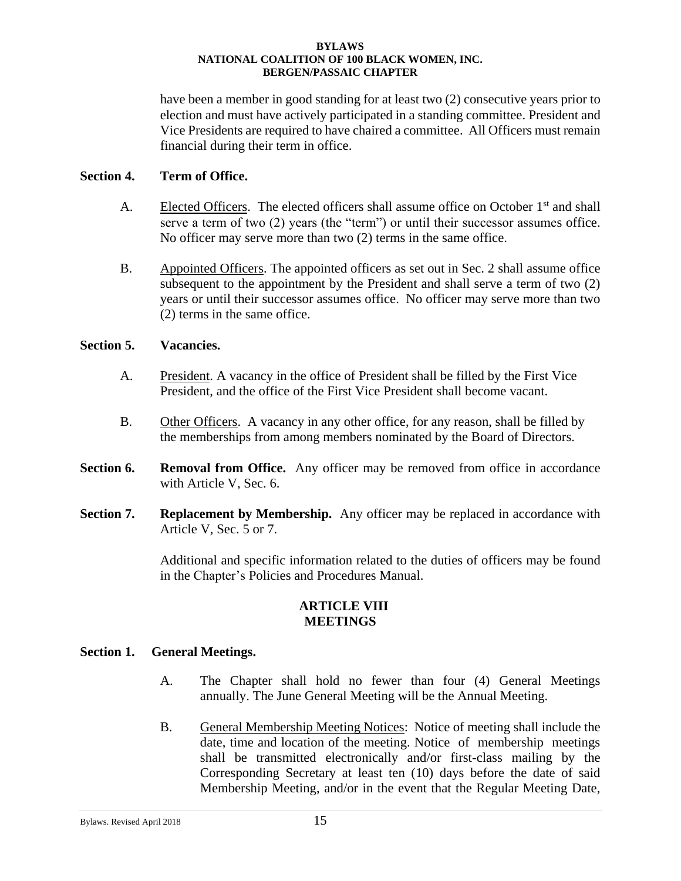have been a member in good standing for at least two (2) consecutive years prior to election and must have actively participated in a standing committee. President and Vice Presidents are required to have chaired a committee. All Officers must remain financial during their term in office.

### **Section 4. Term of Office.**

- A. Elected Officers. The elected officers shall assume office on October  $1<sup>st</sup>$  and shall serve a term of two (2) years (the "term") or until their successor assumes office. No officer may serve more than two (2) terms in the same office.
- B. Appointed Officers. The appointed officers as set out in Sec. 2 shall assume office subsequent to the appointment by the President and shall serve a term of two (2) years or until their successor assumes office. No officer may serve more than two (2) terms in the same office.

### **Section 5. Vacancies.**

- A. President. A vacancy in the office of President shall be filled by the First Vice President, and the office of the First Vice President shall become vacant.
- B. Other Officers. A vacancy in any other office, for any reason, shall be filled by the memberships from among members nominated by the Board of Directors.
- **Section 6. Removal from Office.** Any officer may be removed from office in accordance with Article V, Sec. 6.
- **Section 7. Replacement by Membership.** Any officer may be replaced in accordance with Article V, Sec. 5 or 7.

Additional and specific information related to the duties of officers may be found in the Chapter's Policies and Procedures Manual.

### **ARTICLE VIII MEETINGS**

### **Section 1. General Meetings.**

- A. The Chapter shall hold no fewer than four (4) General Meetings annually. The June General Meeting will be the Annual Meeting.
- B. General Membership Meeting Notices: Notice of meeting shall include the date, time and location of the meeting. Notice of membership meetings shall be transmitted electronically and/or first-class mailing by the Corresponding Secretary at least ten (10) days before the date of said Membership Meeting, and/or in the event that the Regular Meeting Date,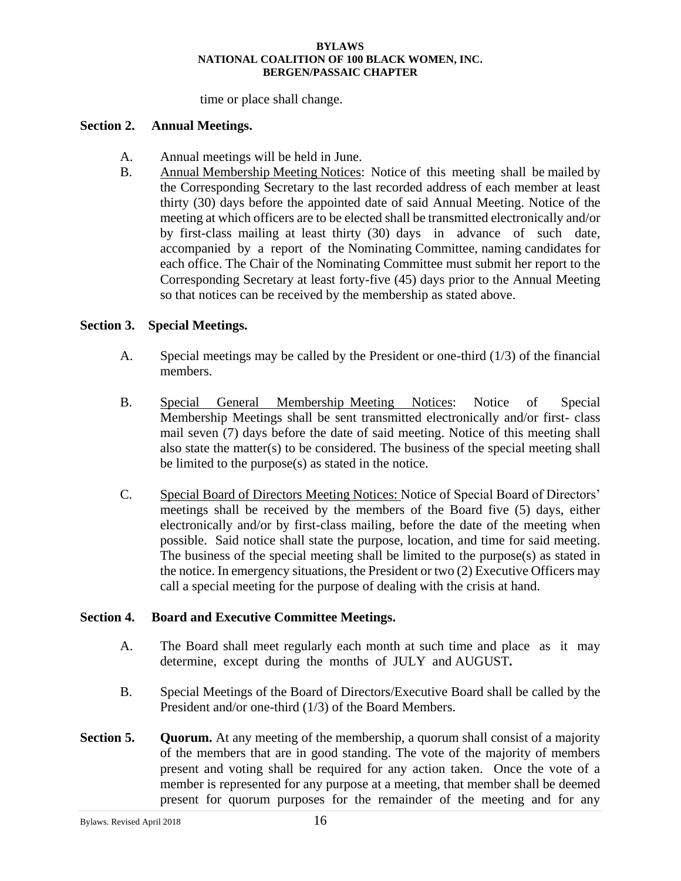time or place shall change.

### **Section 2. Annual Meetings.**

- A. Annual meetings will be held in June.
- B. Annual Membership Meeting Notices: Notice of this meeting shall be mailed by the Corresponding Secretary to the last recorded address of each member at least thirty (30) days before the appointed date of said Annual Meeting. Notice of the meeting at which officers are to be elected shall be transmitted electronically and/or by first-class mailing at least thirty (30) days in advance of such date, accompanied by a report of the Nominating Committee, naming candidates for each office. The Chair of the Nominating Committee must submit her report to the Corresponding Secretary at least forty-five (45) days prior to the Annual Meeting so that notices can be received by the membership as stated above.

### **Section 3. Special Meetings.**

- A. Special meetings may be called by the President or one-third (1/3) of the financial members.
- B. Special General Membership Meeting Notices: Notice of Special Membership Meetings shall be sent transmitted electronically and/or first- class mail seven (7) days before the date of said meeting. Notice of this meeting shall also state the matter(s) to be considered. The business of the special meeting shall be limited to the purpose(s) as stated in the notice.
- C. Special Board of Directors Meeting Notices: Notice of Special Board of Directors' meetings shall be received by the members of the Board five (5) days, either electronically and/or by first-class mailing, before the date of the meeting when possible. Said notice shall state the purpose, location, and time for said meeting. The business of the special meeting shall be limited to the purpose(s) as stated in the notice. In emergency situations, the President or two (2) Executive Officers may call a special meeting for the purpose of dealing with the crisis at hand.

### **Section 4. Board and Executive Committee Meetings.**

- A. The Board shall meet regularly each month at such time and place as it may determine, except during the months of JULY and AUGUST**.**
- B. Special Meetings of the Board of Directors/Executive Board shall be called by the President and/or one-third (1/3) of the Board Members.
- **Section 5. Quorum.** At any meeting of the membership, a quorum shall consist of a majority of the members that are in good standing. The vote of the majority of members present and voting shall be required for any action taken. Once the vote of a member is represented for any purpose at a meeting, that member shall be deemed present for quorum purposes for the remainder of the meeting and for any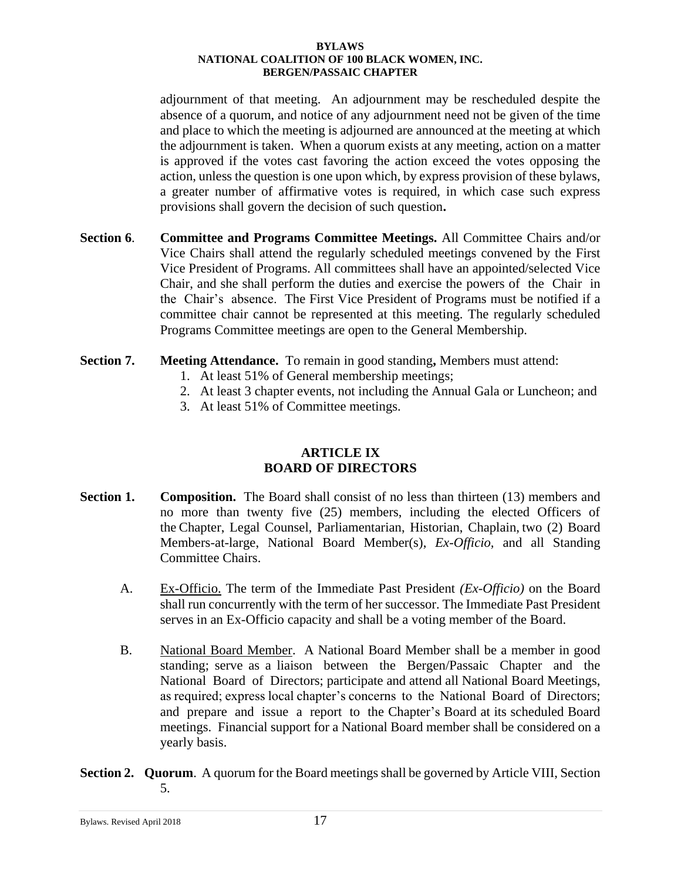adjournment of that meeting. An adjournment may be rescheduled despite the absence of a quorum, and notice of any adjournment need not be given of the time and place to which the meeting is adjourned are announced at the meeting at which the adjournment is taken. When a quorum exists at any meeting, action on a matter is approved if the votes cast favoring the action exceed the votes opposing the action, unless the question is one upon which, by express provision of these bylaws, a greater number of affirmative votes is required, in which case such express provisions shall govern the decision of such question**.** 

- **Section 6**. **Committee and Programs Committee Meetings.** All Committee Chairs and/or Vice Chairs shall attend the regularly scheduled meetings convened by the First Vice President of Programs. All committees shall have an appointed/selected Vice Chair, and she shall perform the duties and exercise the powers of the Chair in the Chair's absence. The First Vice President of Programs must be notified if a committee chair cannot be represented at this meeting. The regularly scheduled Programs Committee meetings are open to the General Membership.
- **Section 7. Meeting Attendance.** To remain in good standing**,** Members must attend:
	- 1. At least 51% of General membership meetings;
	- 2. At least 3 chapter events, not including the Annual Gala or Luncheon; and
	- 3. At least 51% of Committee meetings.

### **ARTICLE IX BOARD OF DIRECTORS**

- **Section 1.** Composition. The Board shall consist of no less than thirteen (13) members and no more than twenty five (25) members, including the elected Officers of the Chapter,Legal Counsel, Parliamentarian, Historian, Chaplain, two (2) Board Members-at-large, National Board Member(s), *Ex-Officio,* and all Standing Committee Chairs.
	- A. Ex-Officio. The term of the Immediate Past President *(Ex-Officio)* on the Board shall run concurrently with the term of her successor. The Immediate Past President serves in an Ex-Officio capacity and shall be a voting member of the Board.
	- B. National Board Member. A National Board Member shall be a member in good standing; serve as a liaison between the Bergen/Passaic Chapter and the National Board of Directors; participate and attend all National Board Meetings, as required; express local chapter's concerns to the National Board of Directors; and prepare and issue a report to the Chapter's Board at its scheduled Board meetings. Financial support for a National Board member shall be considered on a yearly basis.
- **Section 2. Quorum**. A quorum for the Board meetings shall be governed by Article VIII, Section 5.

Bylaws. Revised April 2018 17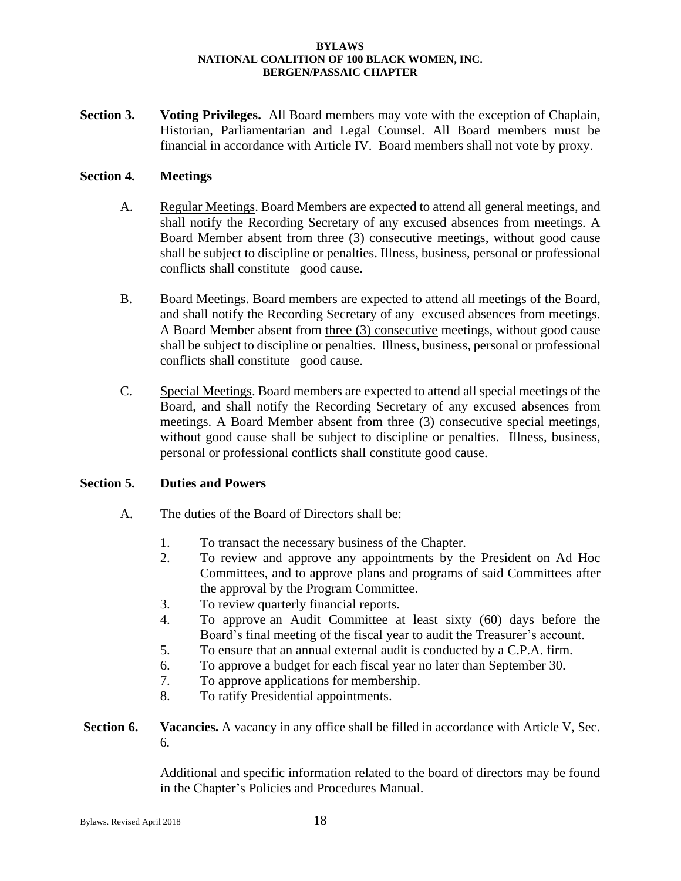**Section 3. Voting Privileges.** All Board members may vote with the exception of Chaplain, Historian, Parliamentarian and Legal Counsel. All Board members must be financial in accordance with Article IV. Board members shall not vote by proxy.

### **Section 4. Meetings**

- A. Regular Meetings. Board Members are expected to attend all general meetings, and shall notify the Recording Secretary of any excused absences from meetings. A Board Member absent from three (3) consecutive meetings, without good cause shall be subject to discipline or penalties. Illness, business, personal or professional conflicts shall constitute good cause.
- B. Board Meetings. Board members are expected to attend all meetings of the Board, and shall notify the Recording Secretary of any excused absences from meetings. A Board Member absent from three (3) consecutive meetings, without good cause shall be subject to discipline or penalties. Illness, business, personal or professional conflicts shall constitute good cause.
- C. Special Meetings. Board members are expected to attend all special meetings of the Board, and shall notify the Recording Secretary of any excused absences from meetings. A Board Member absent from three (3) consecutive special meetings, without good cause shall be subject to discipline or penalties. Illness, business, personal or professional conflicts shall constitute good cause.

### **Section 5. Duties and Powers**

- A. The duties of the Board of Directors shall be:
	- 1. To transact the necessary business of the Chapter.
	- 2. To review and approve any appointments by the President on Ad Hoc Committees, and to approve plans and programs of said Committees after the approval by the Program Committee.
	- 3. To review quarterly financial reports.
	- 4. To approve an Audit Committee at least sixty (60) days before the Board's final meeting of the fiscal year to audit the Treasurer's account.
	- 5. To ensure that an annual external audit is conducted by a C.P.A. firm.
	- 6. To approve a budget for each fiscal year no later than September 30.
	- 7. To approve applications for membership.
	- 8. To ratify Presidential appointments.
- **Section 6. Vacancies.** A vacancy in any office shall be filled in accordance with Article V, Sec. 6.

Additional and specific information related to the board of directors may be found in the Chapter's Policies and Procedures Manual.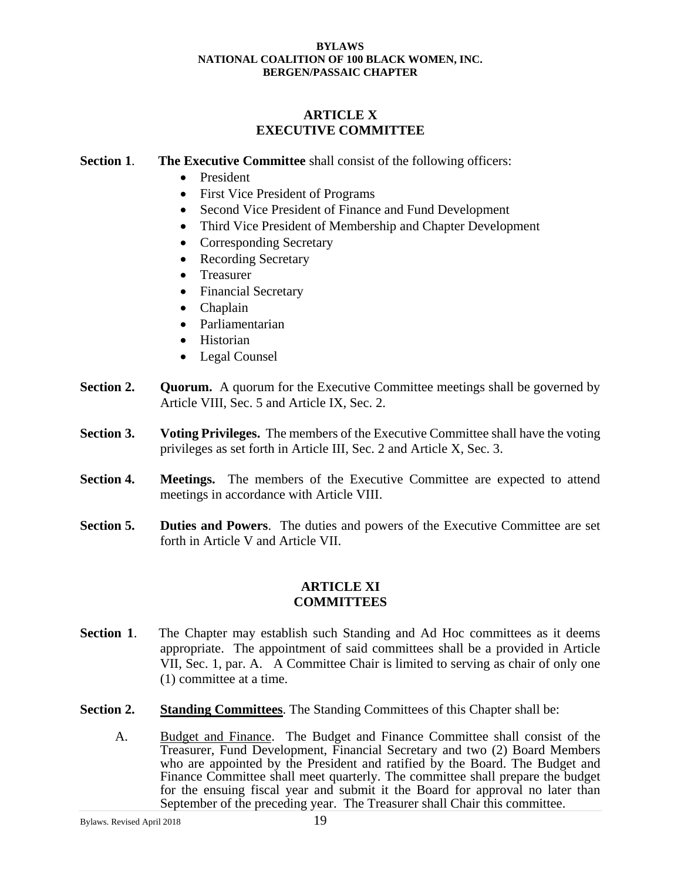### **ARTICLE X EXECUTIVE COMMITTEE**

### **Section 1**. **The Executive Committee** shall consist of the following officers:

- President
- First Vice President of Programs
- Second Vice President of Finance and Fund Development
- Third Vice President of Membership and Chapter Development
- Corresponding Secretary
- Recording Secretary
- Treasurer
- Financial Secretary
- Chaplain
- Parliamentarian
- Historian
- Legal Counsel
- **Section 2. Quorum.** A quorum for the Executive Committee meetings shall be governed by Article VIII, Sec. 5 and Article IX, Sec. 2.
- **Section 3.** Voting Privileges. The members of the Executive Committee shall have the voting privileges as set forth in Article III, Sec. 2 and Article X, Sec. 3.
- **Section 4. Meetings.** The members of the Executive Committee are expected to attend meetings in accordance with Article VIII.
- **Section 5. Duties and Powers**. The duties and powers of the Executive Committee are set forth in Article V and Article VII.

### **ARTICLE XI COMMITTEES**

- **Section 1.** The Chapter may establish such Standing and Ad Hoc committees as it deems appropriate. The appointment of said committees shall be a provided in Article VII, Sec. 1, par. A. A Committee Chair is limited to serving as chair of only one (1) committee at a time.
- **Section 2. Standing Committees**. The Standing Committees of this Chapter shall be:
	- A. Budget and Finance. The Budget and Finance Committee shall consist of the Treasurer, Fund Development, Financial Secretary and two (2) Board Members who are appointed by the President and ratified by the Board. The Budget and Finance Committee shall meet quarterly. The committee shall prepare the budget for the ensuing fiscal year and submit it the Board for approval no later than September of the preceding year. The Treasurer shall Chair this committee.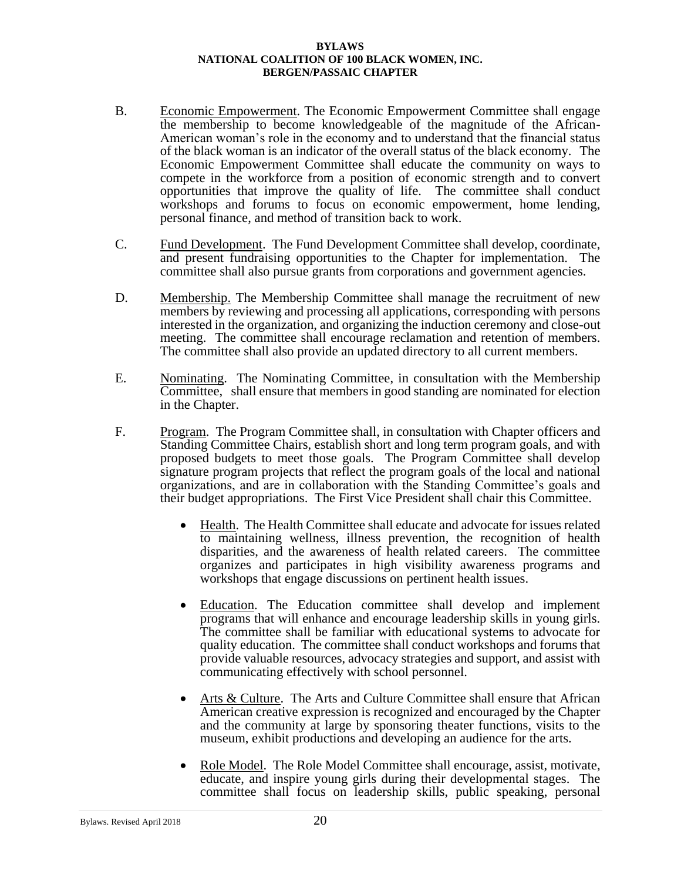- B. Economic Empowerment. The Economic Empowerment Committee shall engage the membership to become knowledgeable of the magnitude of the African-American woman's role in the economy and to understand that the financial status of the black woman is an indicator of the overall status of the black economy. The Economic Empowerment Committee shall educate the community on ways to compete in the workforce from a position of economic strength and to convert opportunities that improve the quality of life. The committee shall conduct workshops and forums to focus on economic empowerment, home lending, personal finance, and method of transition back to work.
- C. Fund Development. The Fund Development Committee shall develop, coordinate, and present fundraising opportunities to the Chapter for implementation. The committee shall also pursue grants from corporations and government agencies.
- D. Membership. The Membership Committee shall manage the recruitment of new members by reviewing and processing all applications, corresponding with persons interested in the organization, and organizing the induction ceremony and close-out meeting. The committee shall encourage reclamation and retention of members. The committee shall also provide an updated directory to all current members.
- E. Nominating. The Nominating Committee, in consultation with the Membership Committee, shall ensure that members in good standing are nominated for election in the Chapter.
- F. Program. The Program Committee shall, in consultation with Chapter officers and Standing Committee Chairs, establish short and long term program goals, and with proposed budgets to meet those goals. The Program Committee shall develop signature program projects that reflect the program goals of the local and national organizations, and are in collaboration with the Standing Committee's goals and their budget appropriations. The First Vice President shall chair this Committee.
	- Health. The Health Committee shall educate and advocate for issues related to maintaining wellness, illness prevention, the recognition of health disparities, and the awareness of health related careers. The committee organizes and participates in high visibility awareness programs and workshops that engage discussions on pertinent health issues.
	- Education. The Education committee shall develop and implement programs that will enhance and encourage leadership skills in young girls. The committee shall be familiar with educational systems to advocate for quality education. The committee shall conduct workshops and forums that provide valuable resources, advocacy strategies and support, and assist with communicating effectively with school personnel.
	- Arts & Culture. The Arts and Culture Committee shall ensure that African American creative expression is recognized and encouraged by the Chapter and the community at large by sponsoring theater functions, visits to the museum, exhibit productions and developing an audience for the arts.
	- Role Model. The Role Model Committee shall encourage, assist, motivate, educate, and inspire young girls during their developmental stages. The committee shall focus on leadership skills, public speaking, personal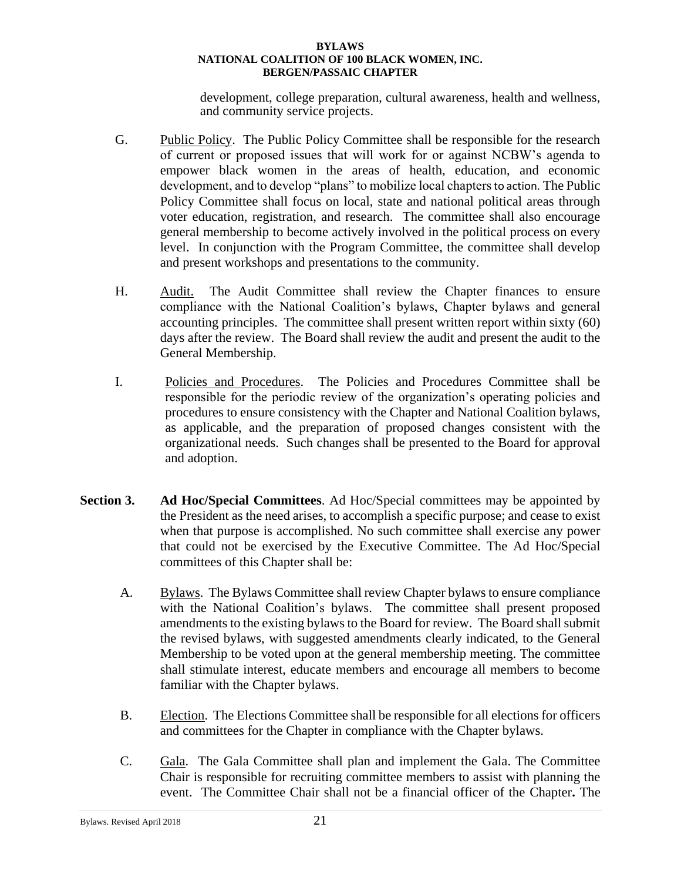development, college preparation, cultural awareness, health and wellness, and community service projects.

- G. Public Policy. The Public Policy Committee shall be responsible for the research of current or proposed issues that will work for or against NCBW's agenda to empower black women in the areas of health, education, and economic development, and to develop "plans" to mobilize local chaptersto action. The Public Policy Committee shall focus on local, state and national political areas through voter education, registration, and research. The committee shall also encourage general membership to become actively involved in the political process on every level. In conjunction with the Program Committee, the committee shall develop and present workshops and presentations to the community.
- H. Audit. The Audit Committee shall review the Chapter finances to ensure compliance with the National Coalition's bylaws, Chapter bylaws and general accounting principles. The committee shall present written report within sixty (60) days after the review. The Board shall review the audit and present the audit to the General Membership.
- I. Policies and Procedures. The Policies and Procedures Committee shall be responsible for the periodic review of the organization's operating policies and procedures to ensure consistency with the Chapter and National Coalition bylaws, as applicable, and the preparation of proposed changes consistent with the organizational needs. Such changes shall be presented to the Board for approval and adoption.
- **Section 3. Ad Hoc/Special Committees**. Ad Hoc/Special committees may be appointed by the President as the need arises, to accomplish a specific purpose; and cease to exist when that purpose is accomplished. No such committee shall exercise any power that could not be exercised by the Executive Committee. The Ad Hoc/Special committees of this Chapter shall be:
	- A. Bylaws. The Bylaws Committee shall review Chapter bylaws to ensure compliance with the National Coalition's bylaws. The committee shall present proposed amendments to the existing bylaws to the Board for review. The Board shall submit the revised bylaws, with suggested amendments clearly indicated, to the General Membership to be voted upon at the general membership meeting. The committee shall stimulate interest, educate members and encourage all members to become familiar with the Chapter bylaws.
	- B. Election. The Elections Committee shall be responsible for all elections for officers and committees for the Chapter in compliance with the Chapter bylaws.
	- C. Gala. The Gala Committee shall plan and implement the Gala. The Committee Chair is responsible for recruiting committee members to assist with planning the event. The Committee Chair shall not be a financial officer of the Chapter**.** The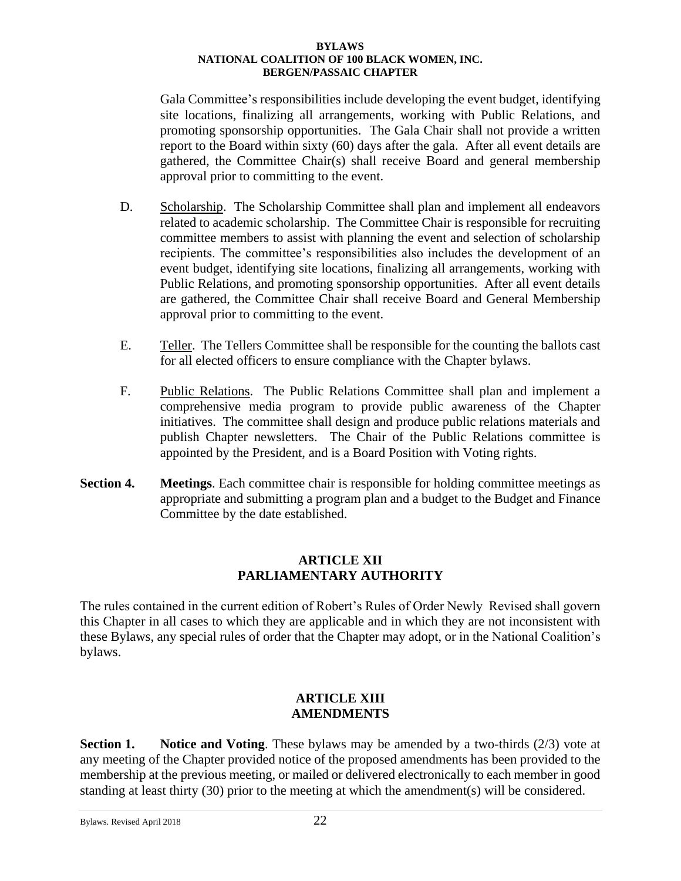Gala Committee's responsibilities include developing the event budget, identifying site locations, finalizing all arrangements, working with Public Relations, and promoting sponsorship opportunities. The Gala Chair shall not provide a written report to the Board within sixty (60) days after the gala. After all event details are gathered, the Committee Chair(s) shall receive Board and general membership approval prior to committing to the event.

- D. Scholarship. The Scholarship Committee shall plan and implement all endeavors related to academic scholarship. The Committee Chair is responsible for recruiting committee members to assist with planning the event and selection of scholarship recipients. The committee's responsibilities also includes the development of an event budget, identifying site locations, finalizing all arrangements, working with Public Relations, and promoting sponsorship opportunities. After all event details are gathered, the Committee Chair shall receive Board and General Membership approval prior to committing to the event.
- E. Teller. The Tellers Committee shall be responsible for the counting the ballots cast for all elected officers to ensure compliance with the Chapter bylaws.
- F. Public Relations. The Public Relations Committee shall plan and implement a comprehensive media program to provide public awareness of the Chapter initiatives. The committee shall design and produce public relations materials and publish Chapter newsletters. The Chair of the Public Relations committee is appointed by the President, and is a Board Position with Voting rights.
- **Section 4. Meetings**. Each committee chair is responsible for holding committee meetings as appropriate and submitting a program plan and a budget to the Budget and Finance Committee by the date established.

### **ARTICLE XII PARLIAMENTARY AUTHORITY**

The rules contained in the current edition of Robert's Rules of Order Newly Revised shall govern this Chapter in all cases to which they are applicable and in which they are not inconsistent with these Bylaws, any special rules of order that the Chapter may adopt, or in the National Coalition's bylaws.

### **ARTICLE XIII AMENDMENTS**

**Section 1. Notice and Voting**. These bylaws may be amended by a two-thirds (2/3) vote at any meeting of the Chapter provided notice of the proposed amendments has been provided to the membership at the previous meeting, or mailed or delivered electronically to each member in good standing at least thirty (30) prior to the meeting at which the amendment(s) will be considered.